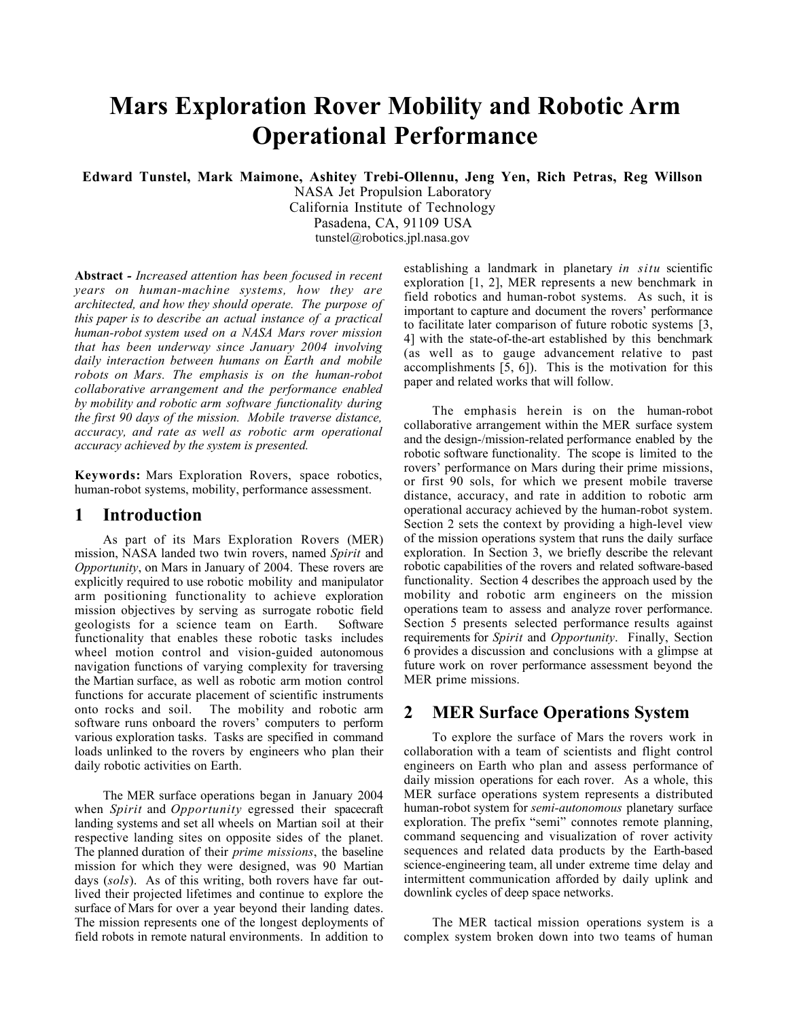# **Mars Exploration Rover Mobility and Robotic Arm Operational Performance**

**Edward Tunstel, Mark Maimone, Ashitey Trebi-Ollennu, Jeng Yen, Rich Petras, Reg Willson**

NASA Jet Propulsion Laboratory California Institute of Technology Pasadena, CA, 91109 USA tunstel@robotics.jpl.nasa.gov

**Abstract** *- Increased attention has been focused in recent years on human-machine systems, how they are architected, and how they should operate. The purpose of this paper is to describe an actual instance of a practical human-robot system used on a NASA Mars rover mission that has been underway since January 2004 involving daily interaction between humans on Earth and mobile robots on Mars. The emphasis is on the human-robot collaborative arrangement and the performance enabled by mobility and robotic arm software functionality during the first 90 days of the mission. Mobile traverse distance, accuracy, and rate as well as robotic arm operational accuracy achieved by the system is presented.*

**Keywords:** Mars Exploration Rovers, space robotics, human-robot systems, mobility, performance assessment.

## **1 Introduction**

As part of its Mars Exploration Rovers (MER) mission, NASA landed two twin rovers, named *Spirit* and *Opportunity*, on Mars in January of 2004. These rovers are explicitly required to use robotic mobility and manipulator arm positioning functionality to achieve exploration mission objectives by serving as surrogate robotic field geologists for a science team on Earth. Software functionality that enables these robotic tasks includes wheel motion control and vision-guided autonomous navigation functions of varying complexity for traversing the Martian surface, as well as robotic arm motion control functions for accurate placement of scientific instruments onto rocks and soil. The mobility and robotic arm software runs onboard the rovers' computers to perform various exploration tasks. Tasks are specified in command loads unlinked to the rovers by engineers who plan their daily robotic activities on Earth.

The MER surface operations began in January 2004 when *Spirit* and *Opportunity* egressed their spacecraft landing systems and set all wheels on Martian soil at their respective landing sites on opposite sides of the planet. The planned duration of their *prime missions*, the baseline mission for which they were designed, was 90 Martian days (*sols*). As of this writing, both rovers have far outlived their projected lifetimes and continue to explore the surface of Mars for over a year beyond their landing dates. The mission represents one of the longest deployments of field robots in remote natural environments. In addition to

establishing a landmark in planetary *in situ* scientific exploration [1, 2], MER represents a new benchmark in field robotics and human-robot systems. As such, it is important to capture and document the rovers' performance to facilitate later comparison of future robotic systems [3, 4] with the state-of-the-art established by this benchmark (as well as to gauge advancement relative to past accomplishments [5, 6]). This is the motivation for this paper and related works that will follow.

The emphasis herein is on the human-robot collaborative arrangement within the MER surface system and the design-/mission-related performance enabled by the robotic software functionality. The scope is limited to the rovers' performance on Mars during their prime missions, or first 90 sols, for which we present mobile traverse distance, accuracy, and rate in addition to robotic arm operational accuracy achieved by the human-robot system. Section 2 sets the context by providing a high-level view of the mission operations system that runs the daily surface exploration. In Section 3, we briefly describe the relevant robotic capabilities of the rovers and related software-based functionality. Section 4 describes the approach used by the mobility and robotic arm engineers on the mission operations team to assess and analyze rover performance. Section 5 presents selected performance results against requirements for *Spirit* and *Opportunity*. Finally, Section 6 provides a discussion and conclusions with a glimpse at future work on rover performance assessment beyond the MER prime missions.

## **2 MER Surface Operations System**

To explore the surface of Mars the rovers work in collaboration with a team of scientists and flight control engineers on Earth who plan and assess performance of daily mission operations for each rover. As a whole, this MER surface operations system represents a distributed human-robot system for *semi-autonomous* planetary surface exploration. The prefix "semi" connotes remote planning, command sequencing and visualization of rover activity sequences and related data products by the Earth-based science-engineering team, all under extreme time delay and intermittent communication afforded by daily uplink and downlink cycles of deep space networks.

The MER tactical mission operations system is a complex system broken down into two teams of human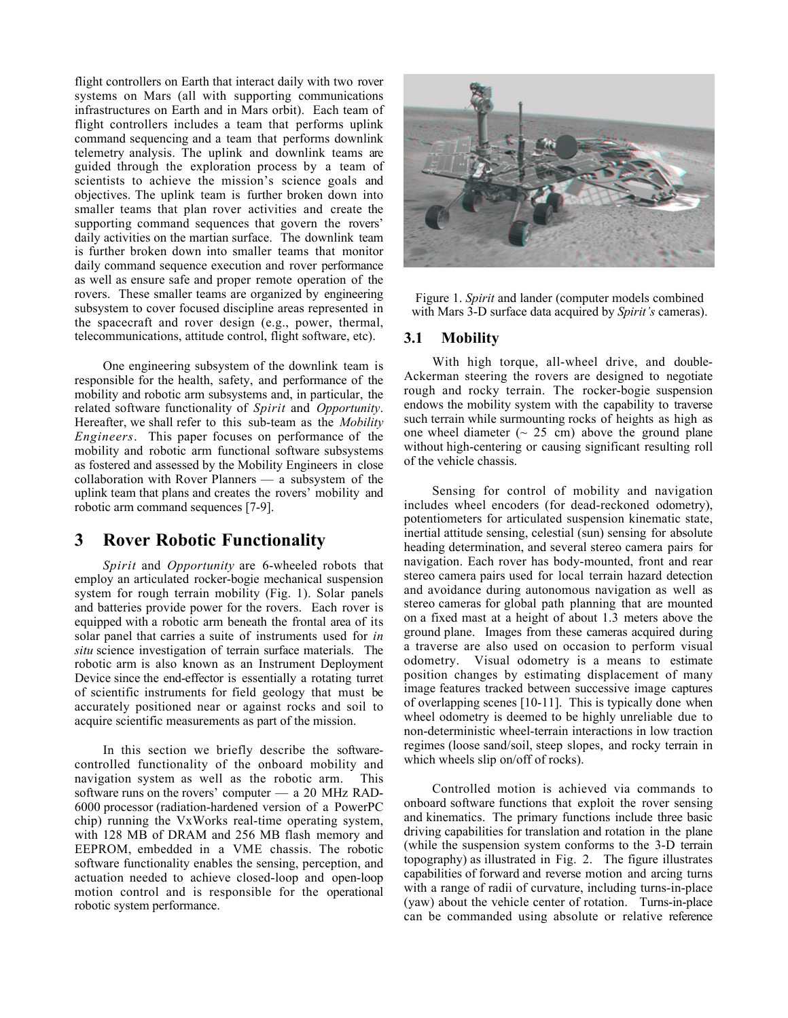flight controllers on Earth that interact daily with two rover systems on Mars (all with supporting communications infrastructures on Earth and in Mars orbit). Each team of flight controllers includes a team that performs uplink command sequencing and a team that performs downlink telemetry analysis. The uplink and downlink teams are guided through the exploration process by a team of scientists to achieve the mission's science goals and objectives. The uplink team is further broken down into smaller teams that plan rover activities and create the supporting command sequences that govern the rovers' daily activities on the martian surface. The downlink team is further broken down into smaller teams that monitor daily command sequence execution and rover performance as well as ensure safe and proper remote operation of the rovers. These smaller teams are organized by engineering subsystem to cover focused discipline areas represented in the spacecraft and rover design (e.g., power, thermal, telecommunications, attitude control, flight software, etc).

One engineering subsystem of the downlink team is responsible for the health, safety, and performance of the mobility and robotic arm subsystems and, in particular, the related software functionality of *Spirit* and *Opportunity*. Hereafter, we shall refer to this sub-team as the *Mobility Engineers*. This paper focuses on performance of the mobility and robotic arm functional software subsystems as fostered and assessed by the Mobility Engineers in close collaboration with Rover Planners — a subsystem of the uplink team that plans and creates the rovers' mobility and robotic arm command sequences [7-9].

## **3 Rover Robotic Functionality**

*Spirit* and *Opportunity* are 6-wheeled robots that employ an articulated rocker-bogie mechanical suspension system for rough terrain mobility (Fig. 1). Solar panels and batteries provide power for the rovers. Each rover is equipped with a robotic arm beneath the frontal area of its solar panel that carries a suite of instruments used for *in situ* science investigation of terrain surface materials. The robotic arm is also known as an Instrument Deployment Device since the end-effector is essentially a rotating turret of scientific instruments for field geology that must be accurately positioned near or against rocks and soil to acquire scientific measurements as part of the mission.

In this section we briefly describe the softwarecontrolled functionality of the onboard mobility and navigation system as well as the robotic arm. This software runs on the rovers' computer — a 20 MHz RAD-6000 processor (radiation-hardened version of a PowerPC chip) running the VxWorks real-time operating system, with 128 MB of DRAM and 256 MB flash memory and EEPROM, embedded in a VME chassis. The robotic software functionality enables the sensing, perception, and actuation needed to achieve closed-loop and open-loop motion control and is responsible for the operational robotic system performance.



Figure 1. *Spirit* and lander (computer models combined with Mars 3-D surface data acquired by *Spirit's* cameras).

#### **3.1 Mobility**

With high torque, all-wheel drive, and double-Ackerman steering the rovers are designed to negotiate rough and rocky terrain. The rocker-bogie suspension endows the mobility system with the capability to traverse such terrain while surmounting rocks of heights as high as one wheel diameter  $({\sim 25 \text{ cm}})$  above the ground plane without high-centering or causing significant resulting roll of the vehicle chassis.

Sensing for control of mobility and navigation includes wheel encoders (for dead-reckoned odometry), potentiometers for articulated suspension kinematic state, inertial attitude sensing, celestial (sun) sensing for absolute heading determination, and several stereo camera pairs for navigation. Each rover has body-mounted, front and rear stereo camera pairs used for local terrain hazard detection and avoidance during autonomous navigation as well as stereo cameras for global path planning that are mounted on a fixed mast at a height of about 1.3 meters above the ground plane. Images from these cameras acquired during a traverse are also used on occasion to perform visual odometry. Visual odometry is a means to estimate position changes by estimating displacement of many image features tracked between successive image captures of overlapping scenes [10-11]. This is typically done when wheel odometry is deemed to be highly unreliable due to non-deterministic wheel-terrain interactions in low traction regimes (loose sand/soil, steep slopes, and rocky terrain in which wheels slip on/off of rocks).

Controlled motion is achieved via commands to onboard software functions that exploit the rover sensing and kinematics. The primary functions include three basic driving capabilities for translation and rotation in the plane (while the suspension system conforms to the 3-D terrain topography) as illustrated in Fig. 2. The figure illustrates capabilities of forward and reverse motion and arcing turns with a range of radii of curvature, including turns-in-place (yaw) about the vehicle center of rotation. Turns-in-place can be commanded using absolute or relative reference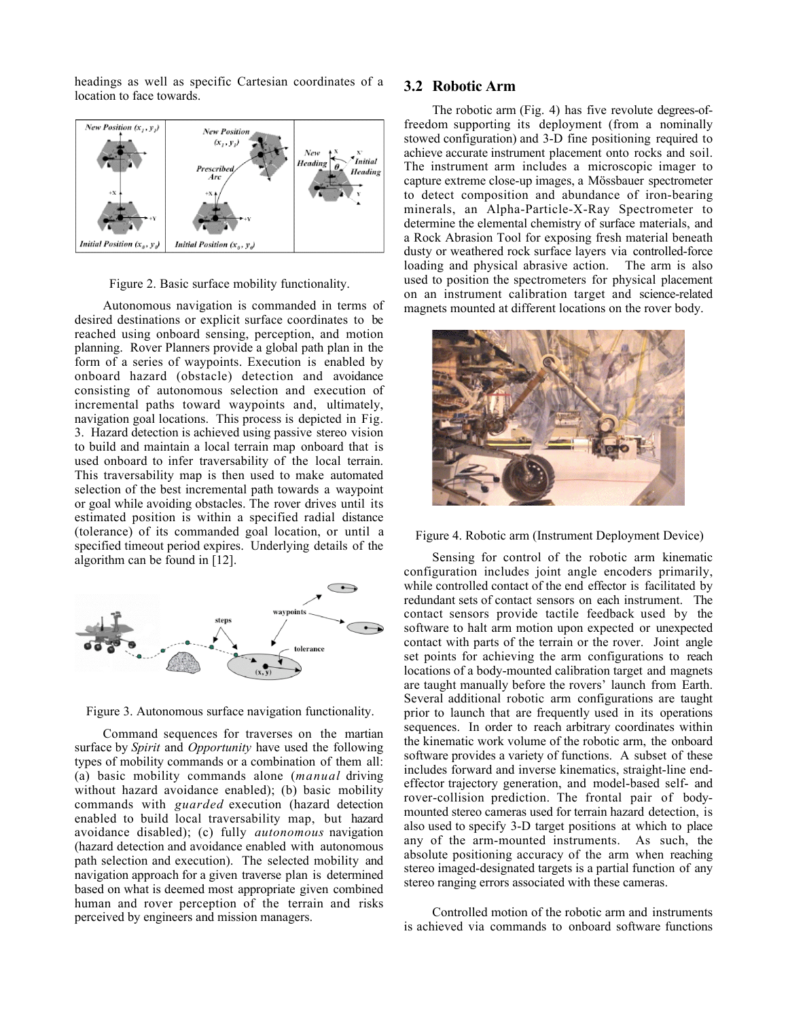headings as well as specific Cartesian coordinates of a location to face towards.



Figure 2. Basic surface mobility functionality.

Autonomous navigation is commanded in terms of desired destinations or explicit surface coordinates to be reached using onboard sensing, perception, and motion planning. Rover Planners provide a global path plan in the form of a series of waypoints. Execution is enabled by onboard hazard (obstacle) detection and avoidance consisting of autonomous selection and execution of incremental paths toward waypoints and, ultimately, navigation goal locations. This process is depicted in Fig. 3. Hazard detection is achieved using passive stereo vision to build and maintain a local terrain map onboard that is used onboard to infer traversability of the local terrain. This traversability map is then used to make automated selection of the best incremental path towards a waypoint or goal while avoiding obstacles. The rover drives until its estimated position is within a specified radial distance (tolerance) of its commanded goal location, or until a specified timeout period expires. Underlying details of the algorithm can be found in [12].



Figure 3. Autonomous surface navigation functionality.

Command sequences for traverses on the martian surface by *Spirit* and *Opportunity* have used the following types of mobility commands or a combination of them all: (a) basic mobility commands alone (*manual* driving without hazard avoidance enabled); (b) basic mobility commands with *guarded* execution (hazard detection enabled to build local traversability map, but hazard avoidance disabled); (c) fully *autonomous* navigation (hazard detection and avoidance enabled with autonomous path selection and execution). The selected mobility and navigation approach for a given traverse plan is determined based on what is deemed most appropriate given combined human and rover perception of the terrain and risks perceived by engineers and mission managers.

#### **3.2 Robotic Arm**

The robotic arm (Fig. 4) has five revolute degrees-offreedom supporting its deployment (from a nominally stowed configuration) and 3-D fine positioning required to achieve accurate instrument placement onto rocks and soil. The instrument arm includes a microscopic imager to capture extreme close-up images, a Mössbauer spectrometer to detect composition and abundance of iron-bearing minerals, an Alpha-Particle-X-Ray Spectrometer to determine the elemental chemistry of surface materials, and a Rock Abrasion Tool for exposing fresh material beneath dusty or weathered rock surface layers via controlled-force loading and physical abrasive action. The arm is also used to position the spectrometers for physical placement on an instrument calibration target and science-related magnets mounted at different locations on the rover body.



Figure 4. Robotic arm (Instrument Deployment Device)

Sensing for control of the robotic arm kinematic configuration includes joint angle encoders primarily, while controlled contact of the end effector is facilitated by redundant sets of contact sensors on each instrument. The contact sensors provide tactile feedback used by the software to halt arm motion upon expected or unexpected contact with parts of the terrain or the rover. Joint angle set points for achieving the arm configurations to reach locations of a body-mounted calibration target and magnets are taught manually before the rovers' launch from Earth. Several additional robotic arm configurations are taught prior to launch that are frequently used in its operations sequences. In order to reach arbitrary coordinates within the kinematic work volume of the robotic arm, the onboard software provides a variety of functions. A subset of these includes forward and inverse kinematics, straight-line endeffector trajectory generation, and model-based self- and rover-collision prediction. The frontal pair of bodymounted stereo cameras used for terrain hazard detection, is also used to specify 3-D target positions at which to place any of the arm-mounted instruments. As such, the absolute positioning accuracy of the arm when reaching stereo imaged-designated targets is a partial function of any stereo ranging errors associated with these cameras.

Controlled motion of the robotic arm and instruments is achieved via commands to onboard software functions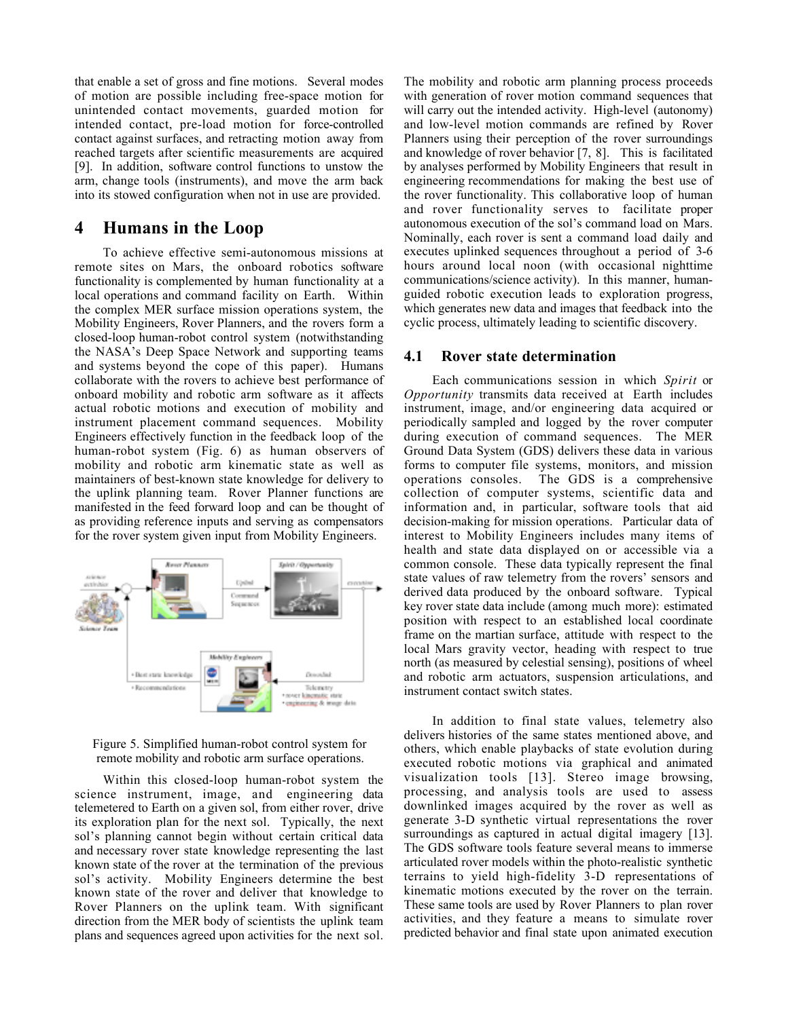that enable a set of gross and fine motions. Several modes of motion are possible including free-space motion for unintended contact movements, guarded motion for intended contact, pre-load motion for force-controlled contact against surfaces, and retracting motion away from reached targets after scientific measurements are acquired [9]. In addition, software control functions to unstow the arm, change tools (instruments), and move the arm back into its stowed configuration when not in use are provided.

## **4 Humans in the Loop**

To achieve effective semi-autonomous missions at remote sites on Mars, the onboard robotics software functionality is complemented by human functionality at a local operations and command facility on Earth. Within the complex MER surface mission operations system, the Mobility Engineers, Rover Planners, and the rovers form a closed-loop human-robot control system (notwithstanding the NASA's Deep Space Network and supporting teams and systems beyond the cope of this paper). Humans collaborate with the rovers to achieve best performance of onboard mobility and robotic arm software as it affects actual robotic motions and execution of mobility and instrument placement command sequences. Mobility Engineers effectively function in the feedback loop of the human-robot system (Fig. 6) as human observers of mobility and robotic arm kinematic state as well as maintainers of best-known state knowledge for delivery to the uplink planning team. Rover Planner functions are manifested in the feed forward loop and can be thought of as providing reference inputs and serving as compensators for the rover system given input from Mobility Engineers.



Figure 5. Simplified human-robot control system for remote mobility and robotic arm surface operations.

Within this closed-loop human-robot system the science instrument, image, and engineering data telemetered to Earth on a given sol, from either rover, drive its exploration plan for the next sol. Typically, the next sol's planning cannot begin without certain critical data and necessary rover state knowledge representing the last known state of the rover at the termination of the previous sol's activity. Mobility Engineers determine the best known state of the rover and deliver that knowledge to Rover Planners on the uplink team. With significant direction from the MER body of scientists the uplink team plans and sequences agreed upon activities for the next sol.

The mobility and robotic arm planning process proceeds with generation of rover motion command sequences that will carry out the intended activity. High-level (autonomy) and low-level motion commands are refined by Rover Planners using their perception of the rover surroundings and knowledge of rover behavior [7, 8]. This is facilitated by analyses performed by Mobility Engineers that result in engineering recommendations for making the best use of the rover functionality. This collaborative loop of human and rover functionality serves to facilitate proper autonomous execution of the sol's command load on Mars. Nominally, each rover is sent a command load daily and executes uplinked sequences throughout a period of 3-6 hours around local noon (with occasional nighttime communications/science activity). In this manner, humanguided robotic execution leads to exploration progress, which generates new data and images that feedback into the cyclic process, ultimately leading to scientific discovery.

#### **4.1 Rover state determination**

Each communications session in which *Spirit* or *Opportunity* transmits data received at Earth includes instrument, image, and/or engineering data acquired or periodically sampled and logged by the rover computer during execution of command sequences. The MER Ground Data System (GDS) delivers these data in various forms to computer file systems, monitors, and mission operations consoles. The GDS is a comprehensive collection of computer systems, scientific data and information and, in particular, software tools that aid decision-making for mission operations. Particular data of interest to Mobility Engineers includes many items of health and state data displayed on or accessible via a common console. These data typically represent the final state values of raw telemetry from the rovers' sensors and derived data produced by the onboard software. Typical key rover state data include (among much more): estimated position with respect to an established local coordinate frame on the martian surface, attitude with respect to the local Mars gravity vector, heading with respect to true north (as measured by celestial sensing), positions of wheel and robotic arm actuators, suspension articulations, and instrument contact switch states.

In addition to final state values, telemetry also delivers histories of the same states mentioned above, and others, which enable playbacks of state evolution during executed robotic motions via graphical and animated visualization tools [13]. Stereo image browsing, processing, and analysis tools are used to assess downlinked images acquired by the rover as well as generate 3-D synthetic virtual representations the rover surroundings as captured in actual digital imagery [13]. The GDS software tools feature several means to immerse articulated rover models within the photo-realistic synthetic terrains to yield high-fidelity 3-D representations of kinematic motions executed by the rover on the terrain. These same tools are used by Rover Planners to plan rover activities, and they feature a means to simulate rover predicted behavior and final state upon animated execution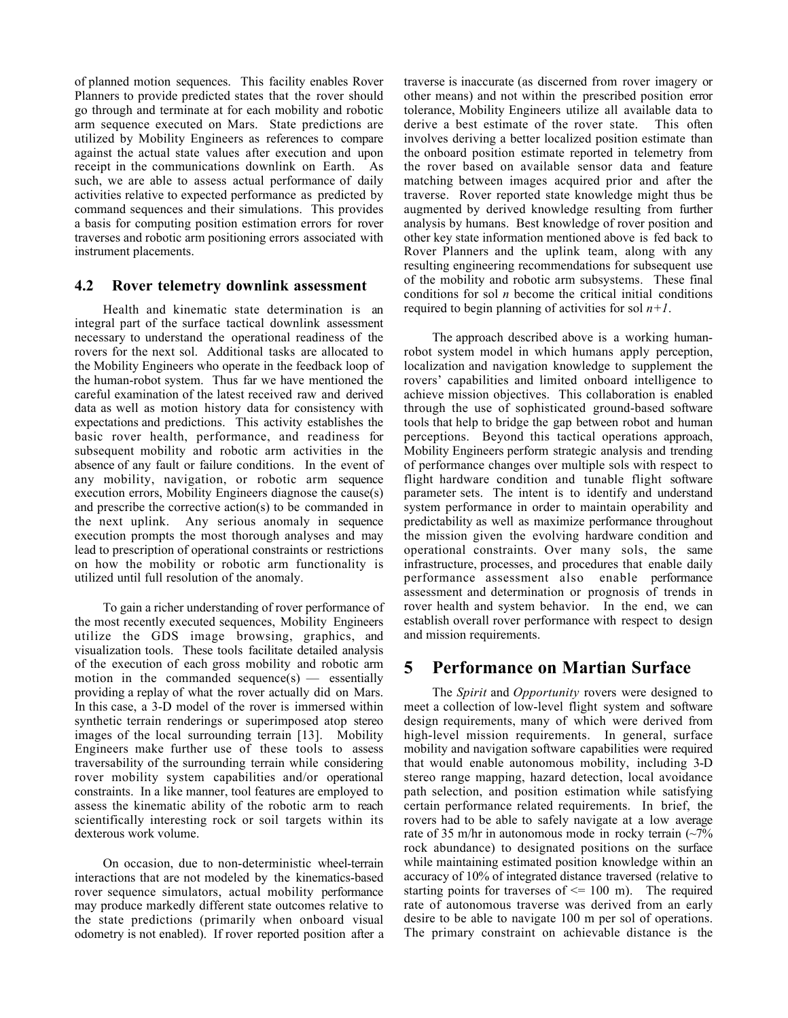of planned motion sequences. This facility enables Rover Planners to provide predicted states that the rover should go through and terminate at for each mobility and robotic arm sequence executed on Mars. State predictions are utilized by Mobility Engineers as references to compare against the actual state values after execution and upon receipt in the communications downlink on Earth. As such, we are able to assess actual performance of daily activities relative to expected performance as predicted by command sequences and their simulations. This provides a basis for computing position estimation errors for rover traverses and robotic arm positioning errors associated with instrument placements.

#### **4.2 Rover telemetry downlink assessment**

Health and kinematic state determination is an integral part of the surface tactical downlink assessment necessary to understand the operational readiness of the rovers for the next sol. Additional tasks are allocated to the Mobility Engineers who operate in the feedback loop of the human-robot system. Thus far we have mentioned the careful examination of the latest received raw and derived data as well as motion history data for consistency with expectations and predictions. This activity establishes the basic rover health, performance, and readiness for subsequent mobility and robotic arm activities in the absence of any fault or failure conditions. In the event of any mobility, navigation, or robotic arm sequence execution errors, Mobility Engineers diagnose the cause(s) and prescribe the corrective action(s) to be commanded in the next uplink. Any serious anomaly in sequence execution prompts the most thorough analyses and may lead to prescription of operational constraints or restrictions on how the mobility or robotic arm functionality is utilized until full resolution of the anomaly.

To gain a richer understanding of rover performance of the most recently executed sequences, Mobility Engineers utilize the GDS image browsing, graphics, and visualization tools. These tools facilitate detailed analysis of the execution of each gross mobility and robotic arm motion in the commanded sequence $(s)$  — essentially providing a replay of what the rover actually did on Mars. In this case, a 3-D model of the rover is immersed within synthetic terrain renderings or superimposed atop stereo images of the local surrounding terrain [13]. Mobility Engineers make further use of these tools to assess traversability of the surrounding terrain while considering rover mobility system capabilities and/or operational constraints. In a like manner, tool features are employed to assess the kinematic ability of the robotic arm to reach scientifically interesting rock or soil targets within its dexterous work volume.

On occasion, due to non-deterministic wheel-terrain interactions that are not modeled by the kinematics-based rover sequence simulators, actual mobility performance may produce markedly different state outcomes relative to the state predictions (primarily when onboard visual odometry is not enabled). If rover reported position after a traverse is inaccurate (as discerned from rover imagery or other means) and not within the prescribed position error tolerance, Mobility Engineers utilize all available data to derive a best estimate of the rover state. This often involves deriving a better localized position estimate than the onboard position estimate reported in telemetry from the rover based on available sensor data and feature matching between images acquired prior and after the traverse. Rover reported state knowledge might thus be augmented by derived knowledge resulting from further analysis by humans. Best knowledge of rover position and other key state information mentioned above is fed back to Rover Planners and the uplink team, along with any resulting engineering recommendations for subsequent use of the mobility and robotic arm subsystems. These final conditions for sol *n* become the critical initial conditions required to begin planning of activities for sol *n+1*.

The approach described above is a working humanrobot system model in which humans apply perception, localization and navigation knowledge to supplement the rovers' capabilities and limited onboard intelligence to achieve mission objectives. This collaboration is enabled through the use of sophisticated ground-based software tools that help to bridge the gap between robot and human perceptions. Beyond this tactical operations approach, Mobility Engineers perform strategic analysis and trending of performance changes over multiple sols with respect to flight hardware condition and tunable flight software parameter sets. The intent is to identify and understand system performance in order to maintain operability and predictability as well as maximize performance throughout the mission given the evolving hardware condition and operational constraints. Over many sols, the same infrastructure, processes, and procedures that enable daily performance assessment also enable performance assessment and determination or prognosis of trends in rover health and system behavior. In the end, we can establish overall rover performance with respect to design and mission requirements.

## **5 Performance on Martian Surface**

The *Spirit* and *Opportunity* rovers were designed to meet a collection of low-level flight system and software design requirements, many of which were derived from high-level mission requirements. In general, surface mobility and navigation software capabilities were required that would enable autonomous mobility, including 3-D stereo range mapping, hazard detection, local avoidance path selection, and position estimation while satisfying certain performance related requirements. In brief, the rovers had to be able to safely navigate at a low average rate of 35 m/hr in autonomous mode in rocky terrain  $\sim 7\%$ rock abundance) to designated positions on the surface while maintaining estimated position knowledge within an accuracy of 10% of integrated distance traversed (relative to starting points for traverses of  $\leq$  100 m). The required rate of autonomous traverse was derived from an early desire to be able to navigate 100 m per sol of operations. The primary constraint on achievable distance is the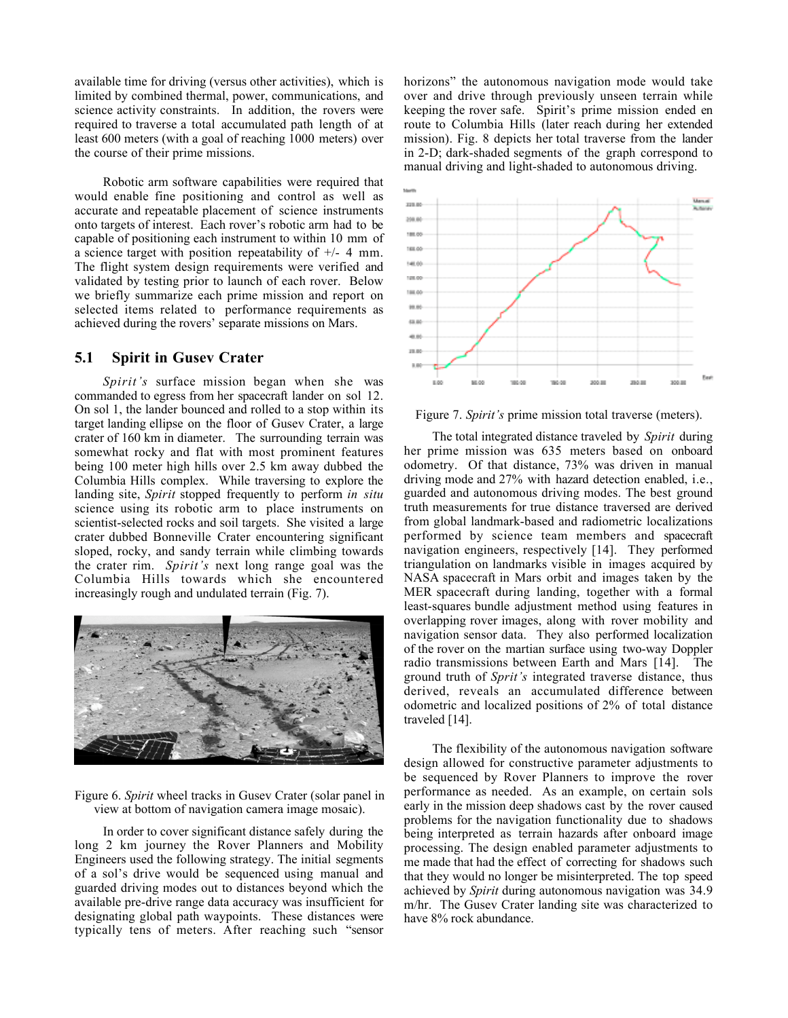available time for driving (versus other activities), which is limited by combined thermal, power, communications, and science activity constraints. In addition, the rovers were required to traverse a total accumulated path length of at least 600 meters (with a goal of reaching 1000 meters) over the course of their prime missions.

Robotic arm software capabilities were required that would enable fine positioning and control as well as accurate and repeatable placement of science instruments onto targets of interest. Each rover's robotic arm had to be capable of positioning each instrument to within 10 mm of a science target with position repeatability of +/- 4 mm. The flight system design requirements were verified and validated by testing prior to launch of each rover. Below we briefly summarize each prime mission and report on selected items related to performance requirements as achieved during the rovers' separate missions on Mars.

#### **5.1 Spirit in Gusev Crater**

*Spirit's* surface mission began when she was commanded to egress from her spacecraft lander on sol 12. On sol 1, the lander bounced and rolled to a stop within its target landing ellipse on the floor of Gusev Crater, a large crater of 160 km in diameter. The surrounding terrain was somewhat rocky and flat with most prominent features being 100 meter high hills over 2.5 km away dubbed the Columbia Hills complex. While traversing to explore the landing site, *Spirit* stopped frequently to perform *in situ* science using its robotic arm to place instruments on scientist-selected rocks and soil targets. She visited a large crater dubbed Bonneville Crater encountering significant sloped, rocky, and sandy terrain while climbing towards the crater rim. *Spirit's* next long range goal was the Columbia Hills towards which she encountered increasingly rough and undulated terrain (Fig. 7).



Figure 6. *Spirit* wheel tracks in Gusev Crater (solar panel in view at bottom of navigation camera image mosaic).

In order to cover significant distance safely during the long 2 km journey the Rover Planners and Mobility Engineers used the following strategy. The initial segments of a sol's drive would be sequenced using manual and guarded driving modes out to distances beyond which the available pre-drive range data accuracy was insufficient for designating global path waypoints. These distances were typically tens of meters. After reaching such "sensor

horizons" the autonomous navigation mode would take over and drive through previously unseen terrain while keeping the rover safe. Spirit's prime mission ended en route to Columbia Hills (later reach during her extended mission). Fig. 8 depicts her total traverse from the lander in 2-D; dark-shaded segments of the graph correspond to manual driving and light-shaded to autonomous driving.



Figure 7. *Spirit's* prime mission total traverse (meters).

The total integrated distance traveled by *Spirit* during her prime mission was 635 meters based on onboard odometry. Of that distance, 73% was driven in manual driving mode and 27% with hazard detection enabled, i.e., guarded and autonomous driving modes. The best ground truth measurements for true distance traversed are derived from global landmark-based and radiometric localizations performed by science team members and spacecraft navigation engineers, respectively [14]. They performed triangulation on landmarks visible in images acquired by NASA spacecraft in Mars orbit and images taken by the MER spacecraft during landing, together with a formal least-squares bundle adjustment method using features in overlapping rover images, along with rover mobility and navigation sensor data. They also performed localization of the rover on the martian surface using two-way Doppler radio transmissions between Earth and Mars [14]. The ground truth of *Sprit's* integrated traverse distance, thus derived, reveals an accumulated difference between odometric and localized positions of 2% of total distance traveled [14].

The flexibility of the autonomous navigation software design allowed for constructive parameter adjustments to be sequenced by Rover Planners to improve the rover performance as needed. As an example, on certain sols early in the mission deep shadows cast by the rover caused problems for the navigation functionality due to shadows being interpreted as terrain hazards after onboard image processing. The design enabled parameter adjustments to me made that had the effect of correcting for shadows such that they would no longer be misinterpreted. The top speed achieved by *Spirit* during autonomous navigation was 34.9 m/hr. The Gusev Crater landing site was characterized to have 8% rock abundance.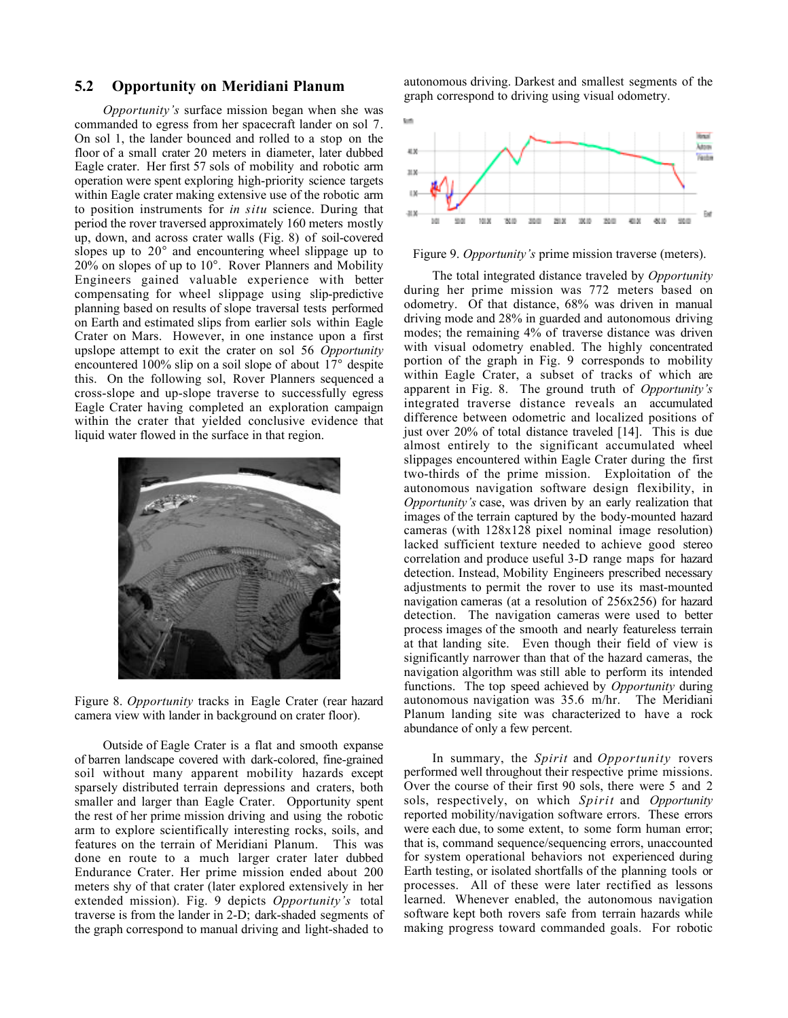### **5.2 Opportunity on Meridiani Planum**

*Opportunity's* surface mission began when she was commanded to egress from her spacecraft lander on sol 7. On sol 1, the lander bounced and rolled to a stop on the floor of a small crater 20 meters in diameter, later dubbed Eagle crater. Her first 57 sols of mobility and robotic arm operation were spent exploring high-priority science targets within Eagle crater making extensive use of the robotic arm to position instruments for *in situ* science. During that period the rover traversed approximately 160 meters mostly up, down, and across crater walls (Fig. 8) of soil-covered slopes up to 20 and encountering wheel slippage up to 20% on slopes of up to 10 . Rover Planners and Mobility Engineers gained valuable experience with better compensating for wheel slippage using slip-predictive planning based on results of slope traversal tests performed on Earth and estimated slips from earlier sols within Eagle Crater on Mars. However, in one instance upon a first upslope attempt to exit the crater on sol 56 *Opportunity* encountered 100% slip on a soil slope of about 17 despite this. On the following sol, Rover Planners sequenced a cross-slope and up-slope traverse to successfully egress Eagle Crater having completed an exploration campaign within the crater that yielded conclusive evidence that liquid water flowed in the surface in that region.



Figure 8. *Opportunity* tracks in Eagle Crater (rear hazard camera view with lander in background on crater floor).

Outside of Eagle Crater is a flat and smooth expanse of barren landscape covered with dark-colored, fine-grained soil without many apparent mobility hazards except sparsely distributed terrain depressions and craters, both smaller and larger than Eagle Crater. Opportunity spent the rest of her prime mission driving and using the robotic arm to explore scientifically interesting rocks, soils, and features on the terrain of Meridiani Planum. This was done en route to a much larger crater later dubbed Endurance Crater. Her prime mission ended about 200 meters shy of that crater (later explored extensively in her extended mission). Fig. 9 depicts *Opportunity's* total traverse is from the lander in 2-D; dark-shaded segments of the graph correspond to manual driving and light-shaded to

autonomous driving. Darkest and smallest segments of the graph correspond to driving using visual odometry.



#### Figure 9. *Opportunity's* prime mission traverse (meters).

The total integrated distance traveled by *Opportunity* during her prime mission was 772 meters based on odometry. Of that distance, 68% was driven in manual driving mode and 28% in guarded and autonomous driving modes; the remaining 4% of traverse distance was driven with visual odometry enabled. The highly concentrated portion of the graph in Fig. 9 corresponds to mobility within Eagle Crater, a subset of tracks of which are apparent in Fig. 8. The ground truth of *Opportunity's* integrated traverse distance reveals an accumulated difference between odometric and localized positions of just over 20% of total distance traveled [14]. This is due almost entirely to the significant accumulated wheel slippages encountered within Eagle Crater during the first two-thirds of the prime mission. Exploitation of the autonomous navigation software design flexibility, in *Opportunity's* case, was driven by an early realization that images of the terrain captured by the body-mounted hazard cameras (with 128x128 pixel nominal image resolution) lacked sufficient texture needed to achieve good stereo correlation and produce useful 3-D range maps for hazard detection. Instead, Mobility Engineers prescribed necessary adjustments to permit the rover to use its mast-mounted navigation cameras (at a resolution of 256x256) for hazard detection. The navigation cameras were used to better process images of the smooth and nearly featureless terrain at that landing site. Even though their field of view is significantly narrower than that of the hazard cameras, the navigation algorithm was still able to perform its intended functions. The top speed achieved by *Opportunity* during autonomous navigation was 35.6 m/hr. The Meridiani Planum landing site was characterized to have a rock abundance of only a few percent.

In summary, the *Spirit* and *Opportunity* rovers performed well throughout their respective prime missions. Over the course of their first 90 sols, there were 5 and 2 sols, respectively, on which *Spirit* and *Opportunity* reported mobility/navigation software errors. These errors were each due, to some extent, to some form human error; that is, command sequence/sequencing errors, unaccounted for system operational behaviors not experienced during Earth testing, or isolated shortfalls of the planning tools or processes. All of these were later rectified as lessons learned. Whenever enabled, the autonomous navigation software kept both rovers safe from terrain hazards while making progress toward commanded goals. For robotic